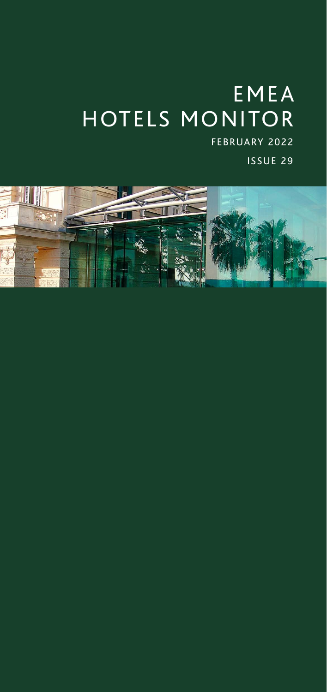# EMEA HOTELS MONITOR FEBRUARY 2022

ISSUE 29

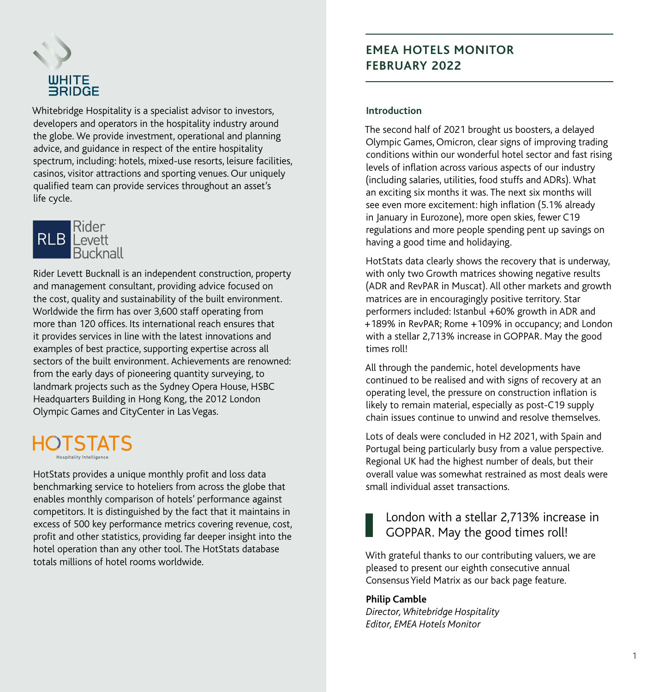

Whitebridge Hospitality is a specialist advisor to investors, developers and operators in the hospitality industry around the globe. We provide investment, operational and planning advice, and guidance in respect of the entire hospitality spectrum, including: hotels, mixed-use resorts, leisure facilities, casinos, visitor attractions and sporting venues. Our uniquely qualified team can provide services throughout an asset's life cycle.



Rider Levett Bucknall is an independent construction, property and management consultant, providing advice focused on the cost, quality and sustainability of the built environment. Worldwide the firm has over 3,600 staff operating from more than 120 offices. Its international reach ensures that it provides services in line with the latest innovations and examples of best practice, supporting expertise across all sectors of the built environment. Achievements are renowned: from the early days of pioneering quantity surveying, to landmark projects such as the Sydney Opera House, HSBC Headquarters Building in Hong Kong, the 2012 London Olympic Games and CityCenter in Las Vegas.

### HOTSTATS **Hospitality Intelligence**

HotStats provides a unique monthly profit and loss data benchmarking service to hoteliers from across the globe that enables monthly comparison of hotels' performance against competitors. It is distinguished by the fact that it maintains in excess of 500 key performance metrics covering revenue, cost, profit and other statistics, providing far deeper insight into the hotel operation than any other tool. The HotStats database totals millions of hotel rooms worldwide.

### **EMEA HOTELS MONITOR FEBRUARY 2022**

#### **Introduction**

The second half of 2021 brought us boosters, a delayed Olympic Games, Omicron, clear signs of improving trading conditions within our wonderful hotel sector and fast rising levels of inflation across various aspects of our industry (including salaries, utilities, food stuffs and ADRs). What an exciting six months it was. The next six months will see even more excitement: high inflation (5.1% already in January in Eurozone), more open skies, fewer C19 regulations and more people spending pent up savings on having a good time and holidaying.

HotStats data clearly shows the recovery that is underway, with only two Growth matrices showing negative results (ADR and RevPAR in Muscat). All other markets and growth matrices are in encouragingly positive territory. Star performers included: Istanbul +60% growth in ADR and +189% in RevPAR; Rome +109% in occupancy; and London with a stellar 2,713% increase in GOPPAR. May the good times roll!

All through the pandemic, hotel developments have continued to be realised and with signs of recovery at an operating level, the pressure on construction inflation is likely to remain material, especially as post-C19 supply chain issues continue to unwind and resolve themselves.

Lots of deals were concluded in H2 2021, with Spain and Portugal being particularly busy from a value perspective. Regional UK had the highest number of deals, but their overall value was somewhat restrained as most deals were small individual asset transactions.

## London with a stellar 2,713% increase in GOPPAR. May the good times roll!

With grateful thanks to our contributing valuers, we are pleased to present our eighth consecutive annual Consensus Yield Matrix as our back page feature.

#### **Philip Camble**

*Director, Whitebridge Hospitality Editor, EMEA Hotels Monitor*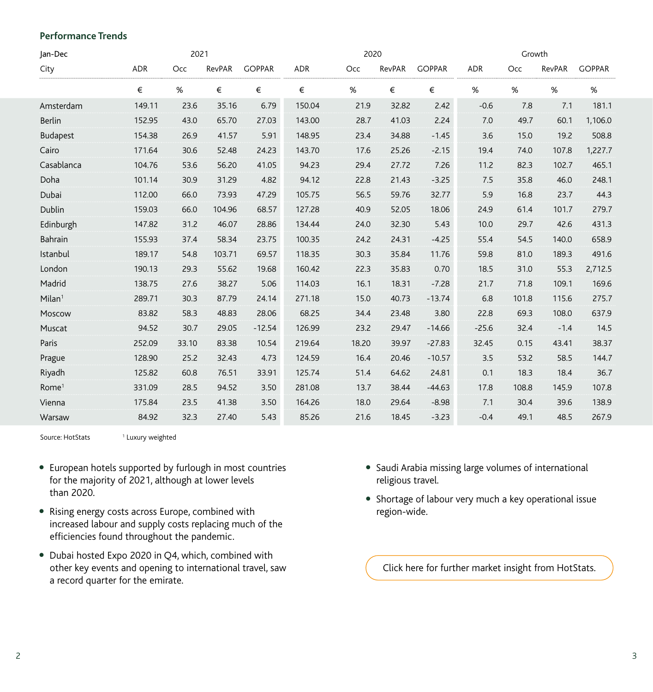#### **Performance Trends**

| Jan-Dec            |        | 2021  |        |               |            | 2020  |        |               |            | Growth |        |               |
|--------------------|--------|-------|--------|---------------|------------|-------|--------|---------------|------------|--------|--------|---------------|
| City               | ADR    | Occ   | RevPAR | <b>GOPPAR</b> | <b>ADR</b> | Occ   | RevPAR | <b>GOPPAR</b> | <b>ADR</b> | Occ    | RevPAR | <b>GOPPAR</b> |
|                    | €      | $\%$  | €      | €             | €          | $\%$  | €      | €             | $\%$       | $\%$   | $\%$   | %             |
| Amsterdam          | 149.11 | 23.6  | 35.16  | 6.79          | 150.04     | 21.9  | 32.82  | 2.42          | $-0.6$     | 7.8    | 7.1    | 181.1         |
| <b>Berlin</b>      | 152.95 | 43.0  | 65.70  | 27.03         | 143.00     | 28.7  | 41.03  | 2.24          | 7.0        | 49.7   | 60.1   | 1,106.0       |
| <b>Budapest</b>    | 154.38 | 26.9  | 41.57  | 5.91          | 148.95     | 23.4  | 34.88  | $-1.45$       | 3.6        | 15.0   | 19.2   | 508.8         |
| Cairo              | 171.64 | 30.6  | 52.48  | 24.23         | 143.70     | 17.6  | 25.26  | $-2.15$       | 19.4       | 74.0   | 107.8  | 1,227.7       |
| Casablanca         | 104.76 | 53.6  | 56.20  | 41.05         | 94.23      | 29.4  | 27.72  | 7.26          | 11.2       | 82.3   | 102.7  | 465.1         |
| Doha               | 101.14 | 30.9  | 31.29  | 4.82          | 94.12      | 22.8  | 21.43  | $-3.25$       | 7.5        | 35.8   | 46.0   | 248.1         |
| Dubai              | 112.00 | 66.0  | 73.93  | 47.29         | 105.75     | 56.5  | 59.76  | 32.77         | 5.9        | 16.8   | 23.7   | 44.3          |
| Dublin             | 159.03 | 66.0  | 104.96 | 68.57         | 127.28     | 40.9  | 52.05  | 18.06         | 24.9       | 61.4   | 101.7  | 279.7         |
| Edinburgh          | 147.82 | 31.2  | 46.07  | 28.86         | 134.44     | 24.0  | 32.30  | 5.43          | 10.0       | 29.7   | 42.6   | 431.3         |
| Bahrain            | 155.93 | 37.4  | 58.34  | 23.75         | 100.35     | 24.2  | 24.31  | $-4.25$       | 55.4       | 54.5   | 140.0  | 658.9         |
| Istanbul           | 189.17 | 54.8  | 103.71 | 69.57         | 118.35     | 30.3  | 35.84  | 11.76         | 59.8       | 81.0   | 189.3  | 491.6         |
| London             | 190.13 | 29.3  | 55.62  | 19.68         | 160.42     | 22.3  | 35.83  | 0.70          | 18.5       | 31.0   | 55.3   | 2,712.5       |
| Madrid             | 138.75 | 27.6  | 38.27  | 5.06          | 114.03     | 16.1  | 18.31  | $-7.28$       | 21.7       | 71.8   | 109.1  | 169.6         |
| Milan <sup>1</sup> | 289.71 | 30.3  | 87.79  | 24.14         | 271.18     | 15.0  | 40.73  | $-13.74$      | 6.8        | 101.8  | 115.6  | 275.7         |
| Moscow             | 83.82  | 58.3  | 48.83  | 28.06         | 68.25      | 34.4  | 23.48  | 3.80          | 22.8       | 69.3   | 108.0  | 637.9         |
| Muscat             | 94.52  | 30.7  | 29.05  | $-12.54$      | 126.99     | 23.2  | 29.47  | $-14.66$      | $-25.6$    | 32.4   | $-1.4$ | 14.5          |
| Paris              | 252.09 | 33.10 | 83.38  | 10.54         | 219.64     | 18.20 | 39.97  | $-27.83$      | 32.45      | 0.15   | 43.41  | 38.37         |
| Prague             | 128.90 | 25.2  | 32.43  | 4.73          | 124.59     | 16.4  | 20.46  | $-10.57$      | 3.5        | 53.2   | 58.5   | 144.7         |
| Riyadh             | 125.82 | 60.8  | 76.51  | 33.91         | 125.74     | 51.4  | 64.62  | 24.81         | 0.1        | 18.3   | 18.4   | 36.7          |
| Rome <sup>1</sup>  | 331.09 | 28.5  | 94.52  | 3.50          | 281.08     | 13.7  | 38.44  | $-44.63$      | 17.8       | 108.8  | 145.9  | 107.8         |
| Vienna             | 175.84 | 23.5  | 41.38  | 3.50          | 164.26     | 18.0  | 29.64  | $-8.98$       | 7.1        | 30.4   | 39.6   | 138.9         |
| Warsaw             | 84.92  | 32.3  | 27.40  | 5.43          | 85.26      | 21.6  | 18.45  | $-3.23$       | $-0.4$     | 49.1   | 48.5   | 267.9         |

Source: HotStats <sup>1</sup> <sup>1</sup> Luxury weighted

- European hotels supported by furlough in most countries for the majority of 2021, although at lower levels than 2020.
- Rising energy costs across Europe, combined with increased labour and supply costs replacing much of the efficiencies found throughout the pandemic.
- Dubai hosted Expo 2020 in Q4, which, combined with other key events and opening to international travel, saw a record quarter for the emirate.
- Saudi Arabia missing large volumes of international religious travel.
- Shortage of labour very much a key operational issue region-wide.

[Click here for further market insight from HotStats.](https://www.hotstats.com/market-reports)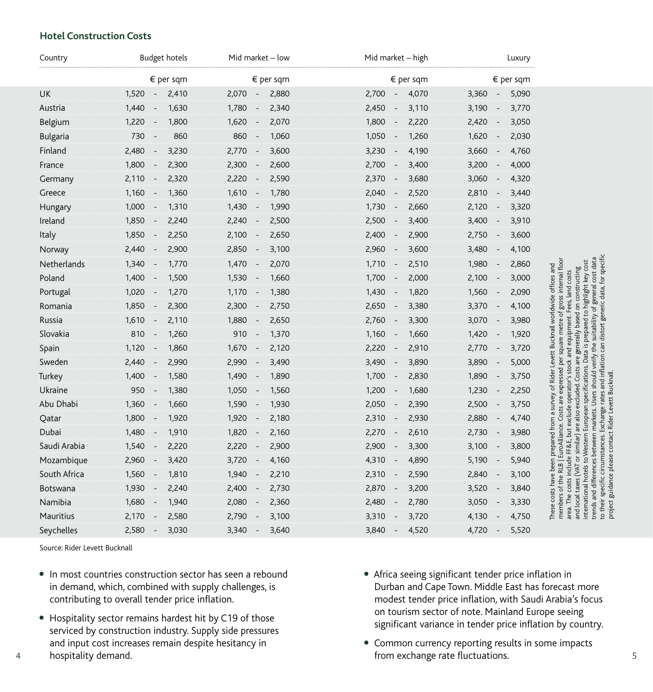#### **Hotel Construction Costs**

| Country         | Budget hotels                              | Mid market – low                           | Mid market - high                          | Luxury                                     |                                                                                                                                                                                                                                                                                                                                                                      |
|-----------------|--------------------------------------------|--------------------------------------------|--------------------------------------------|--------------------------------------------|----------------------------------------------------------------------------------------------------------------------------------------------------------------------------------------------------------------------------------------------------------------------------------------------------------------------------------------------------------------------|
|                 | $\epsilon$ per sqm                         | $\epsilon$ per sqm                         | $\epsilon$ per sqm                         | € per sqm                                  |                                                                                                                                                                                                                                                                                                                                                                      |
| UK              | 1,520<br>2,410<br>$\sim$                   | 2,070<br>2,880<br>$\overline{\phantom{a}}$ | 2,700<br>4,070<br>$\sim$                   | 3,360<br>5,090<br>$\sim$                   |                                                                                                                                                                                                                                                                                                                                                                      |
| Austria         | 1,440<br>1,630<br>$\overline{\phantom{a}}$ | 1,780<br>2,340                             | 2,450<br>3,110<br>$\overline{\phantom{a}}$ | 3,770<br>3,190<br>$\overline{\phantom{a}}$ |                                                                                                                                                                                                                                                                                                                                                                      |
| Belgium         | 1,800<br>1,220<br>$\overline{\phantom{a}}$ | 1,620<br>2,070<br>$\overline{a}$           | 1,800<br>2,220<br>$\overline{\phantom{a}}$ | 2,420<br>3,050<br>$\overline{\phantom{a}}$ |                                                                                                                                                                                                                                                                                                                                                                      |
| <b>Bulgaria</b> | 730<br>860<br>$\overline{\phantom{a}}$     | 860<br>1,060<br>$\overline{\phantom{a}}$   | 1,050<br>1,260<br>$\overline{\phantom{a}}$ | 2,030<br>1,620<br>$\overline{\phantom{a}}$ |                                                                                                                                                                                                                                                                                                                                                                      |
| Finland         | 2,480<br>3,230<br>$\sim$                   | 2,770<br>3,600<br>$\overline{\phantom{a}}$ | 3,230<br>4,190<br>$\sim$                   | 4,760<br>3,660<br>$\sim$                   |                                                                                                                                                                                                                                                                                                                                                                      |
| France          | 1,800<br>2,300<br>$\overline{\phantom{a}}$ | 2,300<br>2,600<br>$\overline{\phantom{a}}$ | 2,700<br>3,400<br>$\overline{\phantom{a}}$ | 4,000<br>3,200<br>$\overline{\phantom{a}}$ |                                                                                                                                                                                                                                                                                                                                                                      |
| Germany         | 2,110<br>2,320<br>$\overline{\phantom{a}}$ | 2,220<br>2,590<br>$\overline{\phantom{a}}$ | 2,370<br>3,680<br>$\sim$                   | 3,060<br>4,320<br>$\sim$                   |                                                                                                                                                                                                                                                                                                                                                                      |
| Greece          | 1,160<br>1,360<br>$\overline{\phantom{a}}$ | 1,610<br>1,780<br>$\overline{\phantom{a}}$ | 2,040<br>2,520<br>$\overline{\phantom{a}}$ | 2,810<br>3,440<br>$\sim$                   |                                                                                                                                                                                                                                                                                                                                                                      |
| Hungary         | 1,000<br>1,310<br>$\overline{\phantom{a}}$ | 1,430<br>1,990                             | 1,730<br>2,660                             | 2,120<br>3,320<br>$\overline{\phantom{a}}$ |                                                                                                                                                                                                                                                                                                                                                                      |
| Ireland         | 1,850<br>2,240<br>$\overline{\phantom{a}}$ | 2,500<br>2,240<br>$\overline{\phantom{a}}$ | 2,500<br>3,400<br>$\overline{\phantom{a}}$ | 3,910<br>3,400<br>$\sim$                   |                                                                                                                                                                                                                                                                                                                                                                      |
| Italy           | 1,850<br>2,250<br>$\overline{\phantom{a}}$ | 2,100<br>2,650<br>$\overline{\phantom{a}}$ | 2,400<br>2,900<br>$\overline{\phantom{a}}$ | 2,750<br>3,600<br>$\sim$                   |                                                                                                                                                                                                                                                                                                                                                                      |
| Norway          | 2,440<br>2,900<br>$\overline{\phantom{a}}$ | 2,850<br>3,100<br>$\overline{\phantom{a}}$ | 2,960<br>3,600<br>$\overline{\phantom{a}}$ | 3,480<br>4,100<br>$\overline{\phantom{a}}$ |                                                                                                                                                                                                                                                                                                                                                                      |
| Netherlands     | 1,770<br>1,340<br>$\overline{\phantom{a}}$ | 1,470<br>2,070<br>$\overline{\phantom{a}}$ | 1,710<br>2,510<br>$\sim$                   | 1,980<br>2,860<br>$\sim$                   |                                                                                                                                                                                                                                                                                                                                                                      |
| Poland          | 1,400<br>1,500                             | 1,660<br>1,530<br>$\overline{\phantom{a}}$ | 1,700<br>2,000                             | 2,100<br>3,000<br>$\overline{\phantom{a}}$ | suitability of general cost data<br>EuroAlliance. Costs are expressed per square metre of gross internal floo<br>highlight key cost<br>constructing<br>costs                                                                                                                                                                                                         |
| Portugal        | 1,020<br>1,270<br>$\overline{\phantom{a}}$ | 1,170<br>1,380<br>$\overline{\phantom{a}}$ | 1,430<br>1,820<br>$\overline{\phantom{a}}$ | 2,090<br>1,560<br>$\overline{\phantom{a}}$ | ees, land                                                                                                                                                                                                                                                                                                                                                            |
| Romania         | 1,850<br>2,300<br>$\overline{a}$           | 2,750<br>2,300<br>$\overline{\phantom{a}}$ | 2,650<br>3,380<br>$\overline{\phantom{a}}$ | 4,100<br>3,370<br>$\overline{\phantom{a}}$ |                                                                                                                                                                                                                                                                                                                                                                      |
| Russia          | 1,610<br>2,110<br>$\overline{\phantom{a}}$ | 1,880<br>2,650<br>$\overline{\phantom{a}}$ | 2,760<br>3,300<br>$\overline{\phantom{a}}$ | 3,070<br>3,980<br>$\overline{\phantom{a}}$ | based on<br>Data is prepared to                                                                                                                                                                                                                                                                                                                                      |
| Slovakia        | 810<br>1,260<br>$\sim$                     | 910<br>1,370<br>$\overline{\phantom{a}}$   | 1,160<br>1,660<br>$\sim$                   | 1,420<br>1,920<br>$\sim$                   | equipment.                                                                                                                                                                                                                                                                                                                                                           |
| Spain           | 1,120<br>1,860<br>$\overline{\phantom{a}}$ | 1,670<br>2,120<br>$\overline{\phantom{a}}$ | 2,220<br>2,910<br>$\overline{\phantom{a}}$ | 2,770<br>3,720<br>$\sim$                   | Costs are generally                                                                                                                                                                                                                                                                                                                                                  |
| Sweden          | 2,440<br>2,990                             | 2,990<br>3,490                             | 3,490<br>3,890                             | 3,890<br>5,000                             | verify the                                                                                                                                                                                                                                                                                                                                                           |
| Turkey          | 1,580<br>1,400                             | 1,490<br>1,890<br>$\overline{\phantom{a}}$ | 1,700<br>2,830<br>$\overline{\phantom{a}}$ | 3,750<br>1,890<br>$\overline{\phantom{a}}$ | FF&E, but exclude operator's stock and<br>European specifications.                                                                                                                                                                                                                                                                                                   |
| Ukraine         | 950<br>1,380<br>$\overline{a}$             | 1,050<br>1,560<br>$\overline{\phantom{a}}$ | 1,200<br>1,680<br>$\sim$                   | 1,230<br>2,250                             | Users should<br>excluded.                                                                                                                                                                                                                                                                                                                                            |
| Abu Dhabi       | 1,360<br>1,660<br>$\overline{a}$           | 1,590<br>1,930<br>$\overline{\phantom{a}}$ | 2,050<br>2,390<br>$\overline{\phantom{a}}$ | 2,500<br>3,750<br>$\overline{\phantom{a}}$ |                                                                                                                                                                                                                                                                                                                                                                      |
| Qatar           | 1,800<br>1,920<br>$\overline{\phantom{a}}$ | 1,920<br>2,180<br>$\overline{\phantom{a}}$ | 2,310<br>2,930<br>$\sim$                   | 2,880<br>4,740<br>$\overline{\phantom{a}}$ | markets.<br>are also                                                                                                                                                                                                                                                                                                                                                 |
| Dubai           | 1,480<br>1,910<br>$\overline{\phantom{a}}$ | 1,820<br>2,160<br>$\overline{\phantom{a}}$ | 2,270<br>2,610<br>$\overline{\phantom{a}}$ | 2,730<br>3,980<br>$\overline{\phantom{a}}$ |                                                                                                                                                                                                                                                                                                                                                                      |
| Saudi Arabia    | 1,540<br>2,220<br>$\overline{a}$           | 2,900<br>2,220<br>$\overline{\phantom{a}}$ | 2,900<br>3,300<br>$\overline{\phantom{a}}$ | 3,800<br>3,100<br>$\overline{\phantom{a}}$ | between<br>Western<br>similar)                                                                                                                                                                                                                                                                                                                                       |
| Mozambique      | 2,960<br>3,420<br>$\overline{\phantom{a}}$ | 4,160<br>3,720<br>$\overline{\phantom{a}}$ | 4,310<br>4,890<br>$\sim$                   | 5,940<br>5,190<br>$\overline{\phantom{a}}$ | ŏ                                                                                                                                                                                                                                                                                                                                                                    |
| South Africa    | 1,560<br>1,810<br>$\overline{\phantom{a}}$ | 1,940<br>2,210<br>$\overline{\phantom{a}}$ | 2,310<br>2,590<br>$\overline{\phantom{a}}$ | 2,840<br>3,100<br>$\overline{\phantom{a}}$ | to their specific circumstances. Exchange rates and inflation can distort generic data, for specific<br>These costs have been prepared from a survey of Rider Levett Bucknall worldwide offices and<br>project guidance please contact Rider Levett Bucknall<br>costs include<br>trends and differences<br>members of the RLB<br><b>IAV)</b><br>international hotels |
| Botswana        | 1,930<br>2,240<br>$\sim$                   | 2,400<br>2,730<br>$\overline{\phantom{a}}$ | 2,870<br>3,200<br>$\overline{\phantom{a}}$ | 3,520<br>3,840<br>$\overline{\phantom{a}}$ | local taxes                                                                                                                                                                                                                                                                                                                                                          |
| Namibia         | 1,680<br>1,940<br>$\overline{\phantom{a}}$ | 2,080<br>2,360<br>$\overline{\phantom{a}}$ | 2,480<br>2,780<br>$\overline{\phantom{a}}$ | 3,050<br>3,330<br>$\sim$                   | area. The                                                                                                                                                                                                                                                                                                                                                            |
| Mauritius       | 2,170<br>2,580<br>$\overline{\phantom{a}}$ | 2,790<br>3,100                             | 3,310<br>3,720                             | 4,750<br>4,130<br>$\overline{\phantom{a}}$ | and                                                                                                                                                                                                                                                                                                                                                                  |
| Seychelles      | 2,580<br>3,030<br>$\overline{a}$           | 3,340<br>3,640<br>$\overline{\phantom{a}}$ | 3,840<br>4,520                             | 4,720<br>5,520<br>$\overline{\phantom{a}}$ |                                                                                                                                                                                                                                                                                                                                                                      |

Source: Rider Levett Bucknall

- In most countries construction sector has seen a rebound in demand, which, combined with supply challenges, is contributing to overall tender price inflation.
- Hospitality sector remains hardest hit by C19 of those serviced by construction industry. Supply side pressures and input cost increases remain despite hesitancy in
- hospitality demand.
- Africa seeing significant tender price inflation in Durban and Cape Town. Middle East has forecast more modest tender price inflation, with Saudi Arabia's focus on tourism sector of note. Mainland Europe seeing significant variance in tender price inflation by country.
- Common currency reporting results in some impacts 4 **hospitality demand.** The same state of the second series of the series of the series of the series of the series s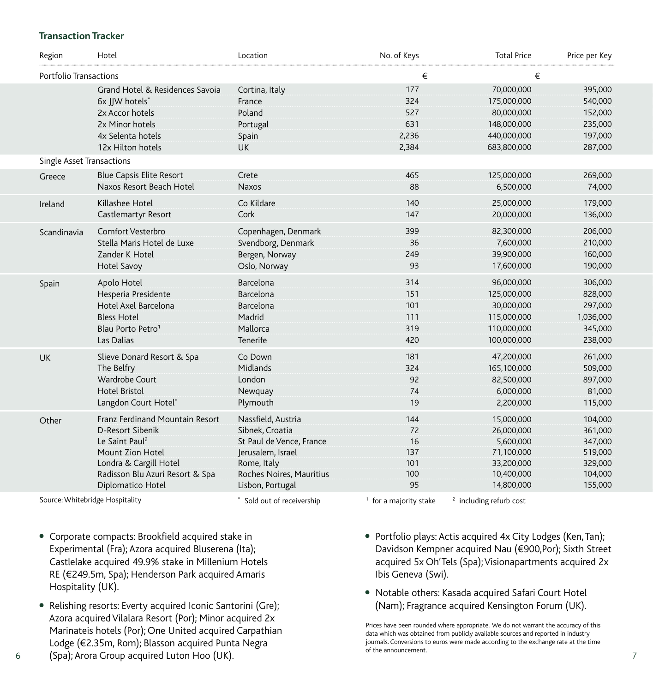#### **Transaction Tracker**

| Region                           | Hotel                           | Location                 | No. of Keys | <b>Total Price</b> | Price per Key |
|----------------------------------|---------------------------------|--------------------------|-------------|--------------------|---------------|
| Portfolio Transactions           |                                 |                          | €           | €                  |               |
|                                  | Grand Hotel & Residences Savoia | Cortina, Italy           | 177         | 70,000,000         | 395,000       |
|                                  | 6x JJW hotels*                  | France                   | 324         | 175,000,000        | 540,000       |
|                                  | 2x Accor hotels                 | Poland                   | 527         | 80,000,000         | 152,000       |
|                                  | 2x Minor hotels                 | Portugal                 | 631         | 148,000,000        | 235,000       |
|                                  | 4x Selenta hotels               | Spain                    | 2,236       | 440,000,000        | 197,000       |
|                                  | 12x Hilton hotels               | <b>UK</b>                | 2,384       | 683,800,000        | 287,000       |
| <b>Single Asset Transactions</b> |                                 |                          |             |                    |               |
| Greece                           | <b>Blue Capsis Elite Resort</b> | Crete                    | 465         | 125,000,000        | 269,000       |
|                                  | Naxos Resort Beach Hotel        | <b>Naxos</b>             | 88          | 6,500,000          | 74,000        |
| Ireland                          | Killashee Hotel                 | Co Kildare               | 140         | 25,000,000         | 179,000       |
|                                  | Castlemartyr Resort             | Cork                     | 147         | 20,000,000         | 136,000       |
| Scandinavia                      | Comfort Vesterbro               | Copenhagen, Denmark      | 399         | 82,300,000         | 206,000       |
|                                  | Stella Maris Hotel de Luxe      | Svendborg, Denmark       | 36          | 7,600,000          | 210,000       |
|                                  | Zander K Hotel                  | Bergen, Norway           | 249         | 39,900,000         | 160,000       |
|                                  | Hotel Savoy                     | Oslo, Norway             | 93          | 17,600,000         | 190,000       |
| Spain                            | Apolo Hotel                     | Barcelona                | 314         | 96,000,000         | 306,000       |
|                                  | Hesperia Presidente             | Barcelona                | 151         | 125,000,000        | 828,000       |
|                                  | Hotel Axel Barcelona            | Barcelona                | 101         | 30,000,000         | 297,000       |
|                                  | <b>Bless Hotel</b>              | Madrid                   | 111         | 115,000,000        | 1,036,000     |
|                                  | Blau Porto Petro <sup>1</sup>   | Mallorca                 | 319         | 110,000,000        | 345,000       |
|                                  | Las Dalias                      | Tenerife                 | 420         | 100,000,000        | 238,000       |
| <b>UK</b>                        | Slieve Donard Resort & Spa      | Co Down                  | 181         | 47,200,000         | 261,000       |
|                                  | The Belfry                      | Midlands                 | 324         | 165,100,000        | 509,000       |
|                                  | Wardrobe Court                  | London                   | 92          | 82,500,000         | 897,000       |
|                                  | <b>Hotel Bristol</b>            | Newquay                  | 74          | 6,000,000          | 81,000        |
|                                  | Langdon Court Hotel*            | Plymouth                 | 19          | 2,200,000          | 115,000       |
| Other                            | Franz Ferdinand Mountain Resort | Nassfield, Austria       | 144         | 15,000,000         | 104,000       |
|                                  | D-Resort Sibenik                | Sibnek, Croatia          | 72          | 26,000,000         | 361,000       |
|                                  | Le Saint Paul <sup>2</sup>      | St Paul de Vence, France | 16          | 5,600,000          | 347,000       |
|                                  | Mount Zion Hotel                | Jerusalem, Israel        | 137         | 71,100,000         | 519,000       |
|                                  | Londra & Cargill Hotel          | Rome, Italy              | 101         | 33,200,000         | 329,000       |
|                                  | Radisson Blu Azuri Resort & Spa | Roches Noires, Mauritius | 100         | 10,400,000         | 104,000       |
|                                  | Diplomatico Hotel               | Lisbon, Portugal         | 95          | 14,800,000         | 155,000       |

Source: Whitebridge Hospitality **According to the Conduct of Sold out of receivership** 1 for a majority stake <sup>2</sup> including refurb cost

- Corporate compacts: Brookfield acquired stake in Experimental (Fra); Azora acquired Bluserena (Ita); Castlelake acquired 49.9% stake in Millenium Hotels RE (€249.5m, Spa); Henderson Park acquired Amaris Hospitality (UK).
- Relishing resorts: Everty acquired Iconic Santorini (Gre); Azora acquired Vilalara Resort (Por); Minor acquired 2x Marinateis hotels (Por); One United acquired Carpathian Lodge (€2.35m, Rom); Blasson acquired Punta Negra
- 6 (Spa); Arora Group acquired Luton Hoo (UK). The model of the announcement.
- Portfolio plays: Actis acquired 4x City Lodges (Ken, Tan); Davidson Kempner acquired Nau (€900,Por); Sixth Street acquired 5x Oh'Tels (Spa); Visionapartments acquired 2x Ibis Geneva (Swi).
- Notable others: Kasada acquired Safari Court Hotel (Nam); Fragrance acquired Kensington Forum (UK).

Prices have been rounded where appropriate. We do not warrant the accuracy of this data which was obtained from publicly available sources and reported in industry journals. Conversions to euros were made according to the exchange rate at the time<br>of the announcement.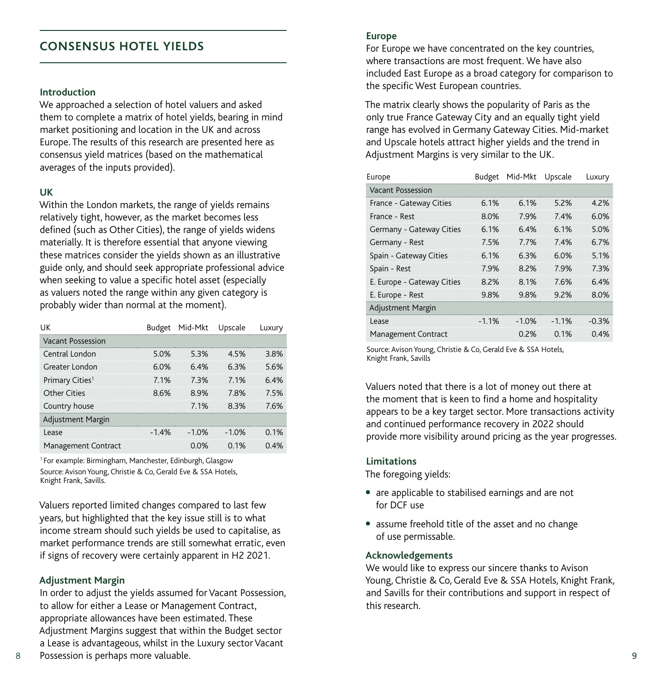### **CONSENSUS HOTEL YIELDS**

#### **Introduction**

We approached a selection of hotel valuers and asked them to complete a matrix of hotel yields, bearing in mind market positioning and location in the UK and across Europe. The results of this research are presented here as consensus yield matrices (based on the mathematical averages of the inputs provided).

#### **UK**

Within the London markets, the range of yields remains relatively tight, however, as the market becomes less defined (such as Other Cities), the range of yields widens materially. It is therefore essential that anyone viewing these matrices consider the yields shown as an illustrative guide only, and should seek appropriate professional advice when seeking to value a specific hotel asset (especially as valuers noted the range within any given category is probably wider than normal at the moment).

| UΚ                          |        | Budget Mid-Mkt | Upscale | Luxury |
|-----------------------------|--------|----------------|---------|--------|
| Vacant Possession           |        |                |         |        |
| Central London              | 5.0%   | 53%            | 45%     | 38%    |
| Greater London              | 6.0%   | 6.4%           | 63%     | 5.6%   |
| Primary Cities <sup>1</sup> | 7 1%   | 73%            | 7 1%    | 6.4%   |
| Other Cities                | 8.6%   | 89%            | 78%     | 75%    |
| Country house               |        | 7 1%           | 83%     | 76%    |
| Adjustment Margin           |        |                |         |        |
| Lease                       | $-14%$ | $-1.0%$        | $-1.0%$ | 0.1%   |
| Management Contract         |        | 0 0%           | 0.1%    | 0.4%   |

1 For example: Birmingham, Manchester, Edinburgh, Glasgow Source: Avison Young, Christie & Co, Gerald Eve & SSA Hotels, Knight Frank, Savills.

Valuers reported limited changes compared to last few years, but highlighted that the key issue still is to what income stream should such yields be used to capitalise, as market performance trends are still somewhat erratic, even if signs of recovery were certainly apparent in H2 2021.

#### **Adjustment Margin**

In order to adjust the yields assumed for Vacant Possession, to allow for either a Lease or Management Contract, appropriate allowances have been estimated. These Adjustment Margins suggest that within the Budget sector a Lease is advantageous, whilst in the Luxury sector Vacant

#### **Europe**

For Europe we have concentrated on the key countries, where transactions are most frequent. We have also included East Europe as a broad category for comparison to the specific West European countries.

The matrix clearly shows the popularity of Paris as the only true France Gateway City and an equally tight yield range has evolved in Germany Gateway Cities. Mid-market and Upscale hotels attract higher yields and the trend in Adjustment Margins is very similar to the UK.

| Europe                     | Budget  | Mid-Mkt | Upscale | Luxury  |
|----------------------------|---------|---------|---------|---------|
| <b>Vacant Possession</b>   |         |         |         |         |
| France - Gateway Cities    | 6.1%    | 6.1%    | 5.2%    | 4.2%    |
| France - Rest              | 8.0%    | 79%     | 74%     | 6.0%    |
| Germany - Gateway Cities   | 6.1%    | 6.4%    | 6.1%    | 5.0%    |
| Germany - Rest             | 7.5%    | 7.7%    | 7.4%    | 6.7%    |
| Spain - Gateway Cities     | 6.1%    | 6.3%    | 6.0%    | 5.1%    |
| Spain - Rest               | 7.9%    | 8.2%    | 7.9%    | 7.3%    |
| E. Europe - Gateway Cities | 8.2%    | 8.1%    | 76%     | 64%     |
| E. Europe - Rest           | 9.8%    | 9.8%    | 9.2%    | 8.0%    |
| <b>Adjustment Margin</b>   |         |         |         |         |
| Lease                      | $-1.1%$ | $-1.0%$ | $-11%$  | $-0.3%$ |
| <b>Management Contract</b> |         | 0.2%    | 0.1%    | 0.4%    |

Source: Avison Young, Christie & Co, Gerald Eve & SSA Hotels, Knight Frank, Savills

Valuers noted that there is a lot of money out there at the moment that is keen to find a home and hospitality appears to be a key target sector. More transactions activity and continued performance recovery in 2022 should provide more visibility around pricing as the year progresses.

#### **Limitations**

The foregoing yields:

- are applicable to stabilised earnings and are not for DCF use
- assume freehold title of the asset and no change of use permissable.

#### **Acknowledgements**

We would like to express our sincere thanks to Avison Young, Christie & Co, Gerald Eve & SSA Hotels, Knight Frank, and Savills for their contributions and support in respect of this research.

Possession is perhaps more valuable. 8 9